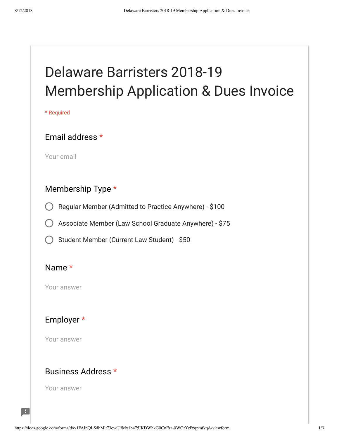# Delaware Barristers 2018-19 Membership Application & Dues Invoice

\* Required

#### Email address \*

Your email

#### Membership Type \*

Regular Member (Admitted to Practice Anywhere) - \$100

Associate Member (Law School Graduate Anywhere) - \$75

Student Member (Current Law Student) - \$50

#### Name \*

Your answer

## Employer \*

Your answer

#### Business Address \*

Your answer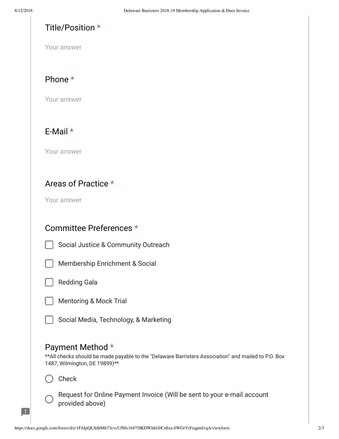#### Title/Position \*

Your answer

#### Phone \*

Your answer

## E-Mail \*

Your answer

#### Areas of Practice \*

Your answer

### Committee Preferences \*

Social Justice & Community Outreach



Membership Enrichment & Social



Mentoring & Mock Trial

Social Media, Technology, & Marketing

#### Payment Method \*

\*\*All checks should be made payable to the "Delaware Barristers Association" and mailed to P.O. Box 1487, Wilmington, DE 19899)\*\*

Check



Œ

Request for Online Payment Invoice (Will be sent to your e-mail account provided above)